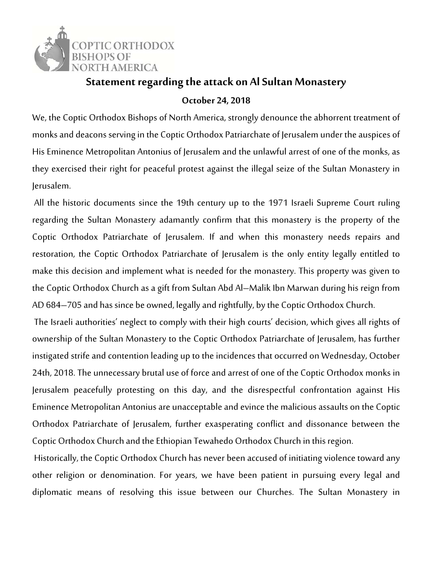

## **Statement regarding the attack on Al Sultan Monastery**

**October 24, 2018** 

We, the Coptic Orthodox Bishops of North America, strongly denounce the abhorrent treatment of monks and deacons serving in the Coptic Orthodox Patriarchate of Jerusalem under the auspices of His Eminence Metropolitan Antonius of Jerusalem and the unlawful arrest of one of the monks, as they exercised their right for peaceful protest against the illegal seize of the Sultan Monastery in Jerusalem.

 All the historic documents since the 19th century up to the 1971 Israeli Supreme Court ruling regarding the Sultan Monastery adamantly confirm that this monastery is the property of the Coptic Orthodox Patriarchate of Jerusalem. If and when this monastery needs repairs and restoration, the Coptic Orthodox Patriarchate of Jerusalem is the only entity legally entitled to make this decision and implement what is needed for the monastery. This property was given to the Coptic Orthodox Church as a gift from Sultan Abd Al–Malik Ibn Marwan during his reign from AD 684–705 and has since be owned, legally and rightfully, by the Coptic Orthodox Church.

 The Israeli authorities' neglect to comply with their high courts' decision, which gives all rights of ownership of the Sultan Monastery to the Coptic Orthodox Patriarchate of Jerusalem, has further instigated strife and contention leading up to the incidences that occurred on Wednesday, October 24th, 2018. The unnecessary brutal use of force and arrest of one of the Coptic Orthodox monks in Jerusalem peacefully protesting on this day, and the disrespectful confrontation against His Eminence Metropolitan Antonius are unacceptable and evince the malicious assaults on the Coptic Orthodox Patriarchate of Jerusalem, further exasperating conflict and dissonance between the Coptic Orthodox Church and the Ethiopian Tewahedo Orthodox Church in this region.

 Historically, the Coptic Orthodox Church has never been accused of initiating violence toward any other religion or denomination. For years, we have been patient in pursuing every legal and diplomatic means of resolving this issue between our Churches. The Sultan Monastery in